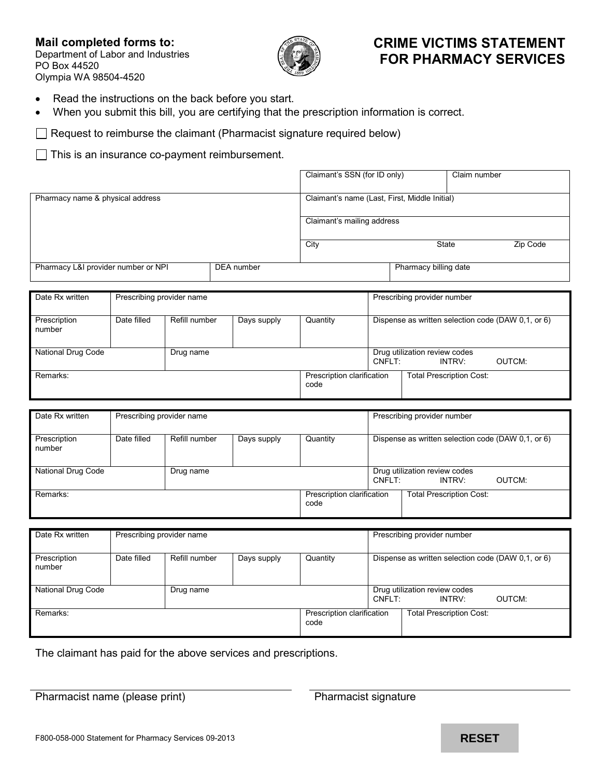# **Mail completed forms to:**

Department of Labor and Industries PO Box 44520 Olympia WA 98504-4520



### **CRIME VICTIMS STATEMENT FOR PHARMACY SERVICES**

- Read the instructions on the back before you start.
- When you submit this bill, you are certifying that the prescription information is correct.

 $\Box$  Request to reimburse the claimant (Pharmacist signature required below)

 $\Box$  This is an insurance co-payment reimbursement.

|                                     |            | Claimant's SSN (for ID only)                  |                       | Claim number |
|-------------------------------------|------------|-----------------------------------------------|-----------------------|--------------|
| Pharmacy name & physical address    |            | Claimant's name (Last, First, Middle Initial) |                       |              |
|                                     |            | Claimant's mailing address                    |                       |              |
|                                     |            | City                                          | State                 | Zip Code     |
| Pharmacy L&I provider number or NPI | DEA number |                                               | Pharmacy billing date |              |

| Date Rx written           | Prescribing provider name |               |             | Prescribing provider number        |        |                                                    |
|---------------------------|---------------------------|---------------|-------------|------------------------------------|--------|----------------------------------------------------|
| Prescription<br>number    | Date filled               | Refill number | Days supply | Quantity                           |        | Dispense as written selection code (DAW 0.1, or 6) |
| <b>National Drug Code</b> |                           | Drug name     |             |                                    | CNFLT: | Drug utilization review codes<br>OUTCM:<br>INTRV:  |
| Remarks:                  |                           |               |             | Prescription clarification<br>code |        | <b>Total Prescription Cost:</b>                    |

| Date Rx written        | Prescribing provider name |               |             |                                    |        | Prescribing provider number                        |        |
|------------------------|---------------------------|---------------|-------------|------------------------------------|--------|----------------------------------------------------|--------|
| Prescription<br>number | Date filled               | Refill number | Days supply | Quantity                           |        | Dispense as written selection code (DAW 0.1, or 6) |        |
| National Drug Code     |                           | Drug name     |             |                                    | CNFLT: | Drug utilization review codes<br>INTRV:            | OUTCM: |
| Remarks:               |                           |               |             | Prescription clarification<br>code |        | <b>Total Prescription Cost:</b>                    |        |

| Date Rx written           | Prescribing provider name |               |             | Prescribing provider number        |        |                                                    |
|---------------------------|---------------------------|---------------|-------------|------------------------------------|--------|----------------------------------------------------|
| Prescription<br>number    | Date filled               | Refill number | Days supply | Quantity                           |        | Dispense as written selection code (DAW 0.1, or 6) |
| <b>National Drug Code</b> |                           | Drug name     |             |                                    | CNFLT: | Drug utilization review codes<br>OUTCM:<br>INTRV:  |
| Remarks:                  |                           |               |             | Prescription clarification<br>code |        | <b>Total Prescription Cost:</b>                    |

The claimant has paid for the above services and prescriptions.

Pharmacist name (please print) Pharmacist signature